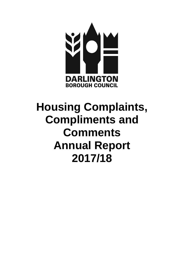

# **Housing Complaints, Compliments and Comments Annual Report 2017/18**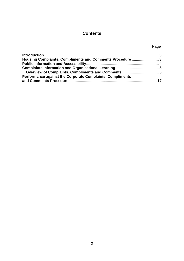# **Contents**

### Page

| Performance against the Corporate Complaints, Compliments |  |
|-----------------------------------------------------------|--|
|                                                           |  |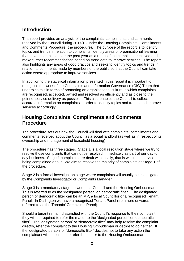# <span id="page-2-0"></span>**Introduction**

This report provides an analysis of the complaints, compliments and comments received by the Council during 2017/18 under the Housing Complaints, Compliments and Comments Procedure (the procedure). The purpose of the report is to identify topics and trends in relation to complaints; identify areas of organisational learning that have taken place over the past year as a result of the complaints received and make further recommendations based on trend data to improve services. The report also highlights any areas of good practice and seeks to identify topics and trends in relation to comments made by members of the public so that the Council can take action where appropriate to improve services.

In addition to the statistical information presented in this report it is important to recognise the work of the Complaints and Information Governance (CIG) Team that underpins this in terms of promoting an organisational culture in which complaints are recognised, accepted, owned and resolved as efficiently and as close to the point of service delivery as possible. This also enables the Council to collect accurate information on complaints in order to identify topics and trends and improve services accordingly.

# <span id="page-2-1"></span>**Housing Complaints, Compliments and Comments Procedure**

The procedure sets out how the Council will deal with complaints, compliments and comments received about the Council as a social landlord (as well as in respect of its ownership and management of leasehold housing).

The procedure has three stages. Stage 1 is a local resolution stage where we try to resolve those complaints that cannot be resolved immediately as part of our day to day business. Stage 1 complaints are dealt with locally, that is within the service being complained about. We aim to resolve the majority of complaints at Stage 1 of the procedure.

Stage 2 is a formal investigation stage where complaints will usually be investigated by the Complaints Investigator or Complaints Manager.

Stage 3 is a mandatory stage between the Council and the Housing Ombudsman. This is referred to as the 'designated person' or 'democratic filter'. The designated person or democratic filter can be an MP, a local Councillor or a recognised Tenant Panel. In Darlington we have a recognised Tenant Panel (from here onwards referred to as the Tenants' Complaints Panel).

Should a tenant remain dissatisfied with the Council's response to their complaint, they will be required to refer the matter to the 'designated person' or 'democratic filter'. The 'designated person' or 'democratic filter' may help resolve the complaint directly, refer the complaint to the Housing Ombudsman or decide to do neither. If the 'designated person' or 'democratic filter' decides not to take any action the complainant will be entitled to refer the matter to the Housing Ombudsman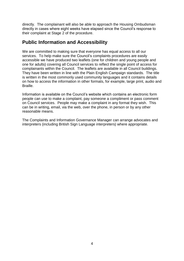directly. The complainant will also be able to approach the Housing Ombudsman directly in cases where eight weeks have elapsed since the Council's response to their complaint at Stage 2 of the procedure.

# <span id="page-3-0"></span>**Public Information and Accessibility**

We are committed to making sure that everyone has equal access to all our services. To help make sure the Council's complaints procedures are easily accessible we have produced two leaflets (one for children and young people and one for adults) covering all Council services to reflect the single point of access for complainants within the Council. The leaflets are available in all Council buildings. They have been written in line with the Plain English Campaign standards. The title is written in the most commonly used community languages and it contains details on how to access the information in other formats, for example, large print, audio and Braille.

Information is available on the Council's website which contains an electronic form people can use to make a complaint, pay someone a compliment or pass comment on Council services. People may make a complaint in any format they wish. This can be in writing, email, via the web, over the phone, in person or by any other reasonable means.

The Complaints and Information Governance Manager can arrange advocates and interpreters (including British Sign Language interpreters) where appropriate.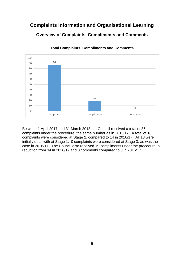# <span id="page-4-1"></span><span id="page-4-0"></span>**Complaints Information and Organisational Learning Overview of Complaints, Compliments and Comments**



**Total Complaints, Compliments and Comments** 

Between 1 April 2017 and 31 March 2018 the Council received a total of 86 complaints under the procedure, the same number as in 2016/17. A total of 18 complaints were considered at Stage 2, compared to 14 in 2016/17. All 18 were initially dealt with at Stage 1. 0 complaints were considered at Stage 3, as was the case in 2016/17. The Council also received 19 compliments under the procedure, a reduction from 34 in 2016/17 and 0 comments compared to 3 in 2016/17.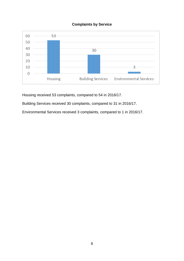#### **Complaints by Service**



Housing received 53 complaints, compared to 54 in 2016/17.

Building Services received 30 complaints, compared to 31 in 2016/17.

Environmental Services received 3 complaints, compared to 1 in 2016/17.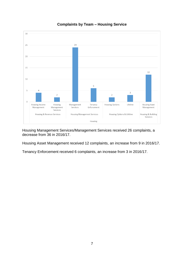

**Complaints by Team – Housing Service**

Housing Management Services/Management Services received 26 complaints, a decrease from 36 in 2016/17.

Housing Asset Management received 12 complaints, an increase from 9 in 2016/17.

Tenancy Enforcement received 6 complaints, an increase from 3 in 2016/17.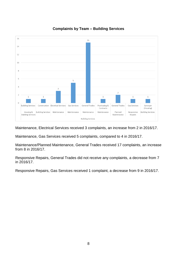

#### **Complaints by Team – Building Services**

Maintenance, Electrical Services received 3 complaints, an increase from 2 in 2016/17.

Maintenance, Gas Services received 5 complaints, compared to 4 in 2016/17.

Maintenance/Planned Maintenance, General Trades received 17 complaints, an increase from 8 in 2016/17.

Responsive Repairs, General Trades did not receive any complaints, a decrease from 7 in 2016/17.

Responsive Repairs, Gas Services received 1 complaint, a decrease from 9 in 2016/17.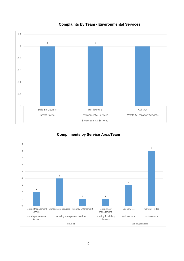

#### **Complaints by Team - Environmental Services**

#### **Compliments by Service Area/Team**

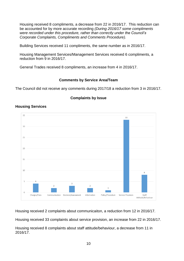Housing received 8 compliments, a decrease from 22 in 2016/17. This reduction can be accounted for by more accurate recording *(During 2016/17 some compliments were recorded under this procedure, rather than correctly under the Council's Corporate Complaints, Compliments and Comments Procedure).*

Building Services received 11 compliments, the same number as in 2016/17.

Housing Management Services/Management Services received 6 compliments, a reduction from 9 in 2016/17.

General Trades received 8 compliments, an increase from 4 in 2016/17.

#### **Comments by Service Area/Team**

The Council did not receive any comments during 2017/18 a reduction from 3 in 2016/17.



#### **Complaints by Issue**

#### **Housing Services**

Housing received 2 complaints about communicaiton, a reduction from 12 in 2016/17.

Housing received 33 complaints about service provision, an increase from 22 in 2016/17.

Housing received 8 complaints about staff attitude/behaviour, a decrease from 11 in 2016/17.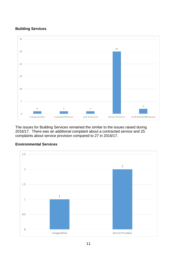#### **Building Services**



The issues for Building Services remained the similar to the issues raised during 2016/17. There was an additional complaint about a contracted service and 25 complaints about service provision compared to 27 in 2016/17.



#### **Environmental Services**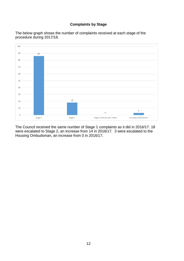#### **Complaints by Stage**





The Council received the same number of Stage 1 complaints as it did in 2016/17. 18 were escalated to Stage 2, an increase from 14 in 2016/17. 3 were escalated to the Housing Ombudsman, an increase from 0 in 2016/17.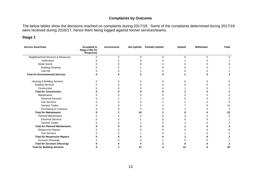#### **Complaints by Outcome**

The below tables show the decisions reached on complaints during 2017/18. Some of the complaints determined during 2017/18 were received during 2016/17, hence them being logged against former services/teams.

#### **Stage 1**

| Service Area/Team                       | <b>Escalated to</b><br>Stage 2 (No S1<br>Response) | Inconclusive | <b>Not Upheld</b> | <b>Partially Upheld</b> | <b>Upheld</b> | Withdrawn | <b>Total</b> |
|-----------------------------------------|----------------------------------------------------|--------------|-------------------|-------------------------|---------------|-----------|--------------|
| Neighbourhood Services & Resources      |                                                    | U            | U                 | $\Omega$                | $\Omega$      | $\Omega$  |              |
| Horticulture                            |                                                    |              |                   |                         |               |           |              |
| <b>Street Scene</b>                     |                                                    |              |                   |                         |               |           |              |
| <b>Building Cleaning</b>                |                                                    |              |                   |                         |               |           |              |
| Call Out                                |                                                    |              |                   |                         |               |           |              |
| <b>Total for Environmental Services</b> |                                                    |              |                   |                         |               |           |              |
| Housing & Building Services             |                                                    |              |                   |                         |               |           |              |
| <b>Building Services</b>                |                                                    |              |                   |                         |               |           |              |
| Construction                            |                                                    |              |                   |                         |               |           |              |
| <b>Total for Construction</b>           |                                                    |              |                   |                         |               |           |              |
| Maintenance                             |                                                    |              |                   |                         |               |           |              |
| <b>Electrical Services</b>              |                                                    |              |                   |                         |               |           |              |
| <b>Gas Services</b>                     |                                                    |              |                   |                         |               |           |              |
| <b>General Trades</b>                   |                                                    |              |                   |                         |               |           | 14           |
| Purchasing & Contracts                  |                                                    |              |                   |                         |               |           |              |
| <b>Total for Maintenance</b>            |                                                    |              | 10                |                         |               |           | 23           |
| <b>Planned Maintenance</b>              |                                                    |              |                   |                         |               |           |              |
| <b>Electrical Services</b>              |                                                    |              |                   |                         |               |           |              |
| <b>General Trades</b>                   |                                                    |              |                   |                         |               |           |              |
| <b>Total for Planned Maintenance</b>    |                                                    |              |                   |                         |               |           |              |
| Responsive Repairs                      |                                                    |              |                   |                         |               |           |              |
| <b>Gas Services</b>                     |                                                    |              |                   |                         |               |           |              |
| <b>Total for Responsive Repairs</b>     |                                                    |              |                   |                         |               |           |              |
| Surveyor (Housing)                      |                                                    |              |                   |                         |               |           |              |
| <b>Total for Surveyor (Housing)</b>     |                                                    |              |                   |                         |               |           |              |
| <b>Total for Building Services</b>      |                                                    |              |                   |                         |               |           | 30           |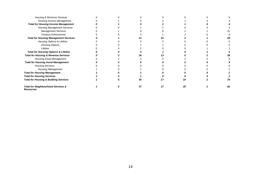| Housing & Revenue Services                       |  |    |    |    |
|--------------------------------------------------|--|----|----|----|
| Housing Income Management                        |  |    |    |    |
| <b>Total for Housing Income Management</b>       |  |    |    |    |
| <b>Housing Management Services</b>               |  |    |    |    |
| <b>Management Services</b>                       |  |    |    |    |
| <b>Tenancy Enforcement</b>                       |  |    |    |    |
| <b>Total for Housing Management Services</b>     |  |    |    |    |
| Housing Options & Lifeline                       |  |    |    |    |
| <b>Housing Options</b>                           |  |    |    |    |
| Lifeline                                         |  |    |    |    |
| <b>Total for Housing Options &amp; Lifeline</b>  |  |    |    |    |
| <b>Total for Housing &amp; Revenue Services</b>  |  |    |    |    |
| Housing Asset Management                         |  |    |    |    |
| <b>Total for Housing Asset Management</b>        |  |    |    |    |
| <b>Housing Services</b>                          |  |    |    |    |
| Housing Management                               |  |    |    |    |
| <b>Total for Housing Management</b>              |  |    |    |    |
| <b>Total for Housing Services</b>                |  |    |    |    |
| <b>Total for Housing &amp; Building Services</b> |  | 35 |    |    |
| Total for Neighbourhood Services &<br>Resources  |  |    | 20 | 82 |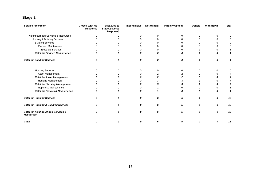# **Stage 2**

| Service Area/Team                                      | <b>Closed With No</b><br>Response | <b>Escalated to</b><br>Stage 2 (No S1<br>Response) | Inconclusive | <b>Not Upheld</b> | <b>Partially Upheld</b> | <b>Upheld</b> | Withdrawn | <b>Total</b> |
|--------------------------------------------------------|-----------------------------------|----------------------------------------------------|--------------|-------------------|-------------------------|---------------|-----------|--------------|
| Neighbourhood Services & Resources                     | $\Omega$                          | 0                                                  | $\Omega$     | 0                 | $\Omega$                | $\Omega$      | 0         |              |
| Housing & Building Services                            |                                   |                                                    |              | U                 |                         |               | 0         |              |
| <b>Building Services</b>                               |                                   |                                                    |              |                   |                         |               | 0         |              |
| <b>Planned Maintenance</b>                             |                                   |                                                    |              |                   |                         |               | 0         |              |
| <b>Electrical Services</b>                             |                                   |                                                    |              | o                 |                         |               | 0         |              |
| <b>Total for Planned Maintenance</b>                   |                                   |                                                    |              |                   |                         |               | Ω         |              |
| <b>Total for Building Services</b>                     | 0                                 | n                                                  | 0            | 0                 | 0                       |               | 0         |              |
| <b>Housing Services</b>                                |                                   |                                                    | 0            | 0                 |                         |               | 0         |              |
| Asset Management                                       |                                   |                                                    |              | 2                 |                         |               | 0         |              |
| <b>Total for Asset Management</b>                      |                                   |                                                    |              |                   |                         |               | Ω         |              |
| Housing Management                                     |                                   |                                                    |              |                   |                         |               | o         |              |
| <b>Total for Housing Management</b>                    |                                   |                                                    |              |                   |                         |               |           |              |
| Repairs & Maintenance                                  |                                   |                                                    |              |                   |                         |               | 0         |              |
| <b>Total for Repairs &amp; Maintenance</b>             |                                   |                                                    |              |                   |                         |               | Λ         |              |
| <b>Total for Housing Services</b>                      |                                   |                                                    | Ω            |                   | 5                       |               | 0         | 12           |
| <b>Total for Housing &amp; Building Services</b>       | n                                 | Ω                                                  | 0            | 6                 | 5                       | $\mathbf{2}$  | 0         | 13           |
| Total for Neighbourhood Services &<br><b>Resources</b> | Ω                                 | Ω                                                  | 0            | 6                 | 5                       | 2             | 0         | 13           |
| <b>Total</b>                                           | 0                                 | Λ                                                  | Ω            | 6                 | 5                       | 2             | 0         | 13           |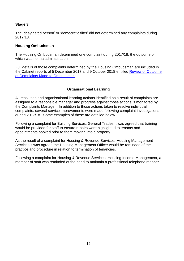#### **Stage 3**

The 'designated person' or 'democratic filter' did not determined any complaints during 2017/18.

#### **Housing Ombudsman**

The Housing Ombudsman determined one complaint during 2017/18, the outcome of which was no maladministration.

Full details of those complaints determined by the Housing Ombudsman are included in the Cabinet reports of 5 December 2017 and 9 October 2018 entitled [Review of Outcome](http://www.darlington.gov.uk/your-council/democracy/meetings-list/)  [of Complaints Made to Ombudsman.](http://www.darlington.gov.uk/your-council/democracy/meetings-list/)

#### **Organisational Learning**

All resolution and organisational learning actions identified as a result of complaints are assigned to a responsible manager and progress against those actions is monitored by the Complaints Manager. In addition to those actions taken to resolve individual complaints, several service improvements were made following complaint investigations during 2017/18. Some examples of these are detailed below.

Following a complaint for Building Services, General Trades it was agreed that training would be provided for staff to ensure repairs were highlighted to tenants and appointments booked prior to them moving into a property.

As the result of a complaint for Housing & Revenue Services, Housing Management Services it was agreed the Housing Management Officer would be reminded of the practice and procedure in relation to termination of tenancies.

Following a complaint for Housing & Revenue Services, Housing Income Management, a member of staff was reminded of the need to maintain a professional telephone manner.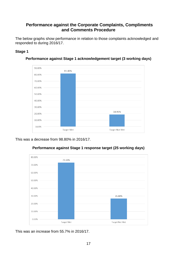#### <span id="page-16-0"></span> **Performance against the Corporate Complaints, Compliments and Comments Procedure**

<span id="page-16-1"></span>The below graphs show performance in relation to those complaints acknowledged and responded to during 2016/17.

#### **Stage 1**



**Performance against Stage 1 acknowledgement target (3 working days)**

This was a decrease from 98.80% in 2016/17.



#### **Performance against Stage 1 response target (25 working days)**

This was an increase from 55.7% in 2016/17.